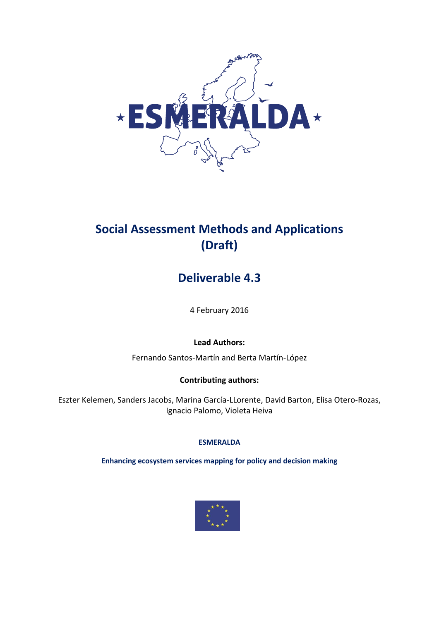

# **Social Assessment Methods and Applications (Draft)**

# **Deliverable 4.3**

4 February 2016

# **Lead Authors:**

Fernando Santos-Martín and Berta Martín-López

### **Contributing authors:**

Eszter Kelemen, Sanders Jacobs, Marina García-LLorente, David Barton, Elisa Otero-Rozas, Ignacio Palomo, Violeta Heiva

#### **ESMERALDA**

**Enhancing ecosystem services mapping for policy and decision making**

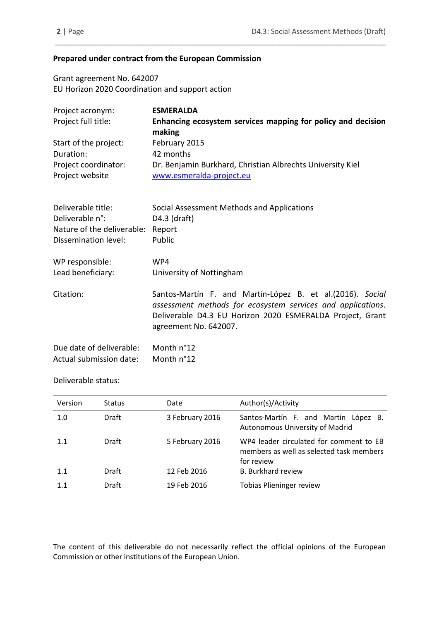#### **Prepared under contract from the European Commission**

Grant agreement No. 642007 EU Horizon 2020 Coordination and support action

| Project acronym:                        | <b>ESMERALDA</b>                                                                       |
|-----------------------------------------|----------------------------------------------------------------------------------------|
| Project full title:                     | Enhancing ecosystem services mapping for policy and decision<br>making                 |
| Start of the project:                   | February 2015                                                                          |
| Duration:                               | 42 months                                                                              |
| Project coordinator:<br>Project website | Dr. Benjamin Burkhard, Christian Albrechts University Kiel<br>www.esmeralda-project.eu |

\_\_\_\_\_\_\_\_\_\_\_\_\_\_\_\_\_\_\_\_\_\_\_\_\_\_\_\_\_\_\_\_\_\_\_\_\_\_\_\_\_\_\_\_\_\_\_\_\_\_\_\_\_\_\_\_\_\_\_\_\_\_\_\_\_\_\_\_\_\_\_\_\_\_\_\_\_\_\_\_\_\_

| Deliverable title:           | Social Assessment Methods and Applications                                                                                                                                                                      |
|------------------------------|-----------------------------------------------------------------------------------------------------------------------------------------------------------------------------------------------------------------|
| Deliverable n <sup>o</sup> : | $D4.3$ (draft)                                                                                                                                                                                                  |
| Nature of the deliverable:   | Report                                                                                                                                                                                                          |
| Dissemination level:         | Public                                                                                                                                                                                                          |
| WP responsible:              | WP4                                                                                                                                                                                                             |
| Lead beneficiary:            | University of Nottingham                                                                                                                                                                                        |
| Citation:                    | Santos-Martín F. and Martín-López B. et al. (2016). Social<br>assessment methods for ecosystem services and applications.<br>Deliverable D4.3 EU Horizon 2020 ESMERALDA Project, Grant<br>agreement No. 642007. |
| Due date of deliverable:     | Month n°12                                                                                                                                                                                                      |
| Actual submission date:      | Month n°12                                                                                                                                                                                                      |

#### Deliverable status:

| <b>Version</b> | <b>Status</b> | Date            | Author(s)/Activity                                                                                |
|----------------|---------------|-----------------|---------------------------------------------------------------------------------------------------|
| 1.0            | Draft         | 3 February 2016 | Santos-Martín F. and Martín López B.<br>Autonomous University of Madrid                           |
| 1.1            | Draft         | 5 February 2016 | WP4 leader circulated for comment to EB<br>members as well as selected task members<br>for review |
| 1.1            | <b>Draft</b>  | 12 Feb 2016     | <b>B. Burkhard review</b>                                                                         |
| 1.1            | Draft         | 19 Feb 2016     | <b>Tobias Plieninger review</b>                                                                   |

The content of this deliverable do not necessarily reflect the official opinions of the European Commission or other institutions of the European Union.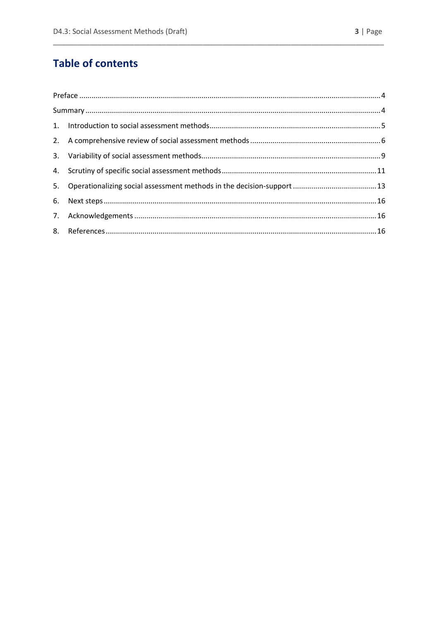# **Table of contents**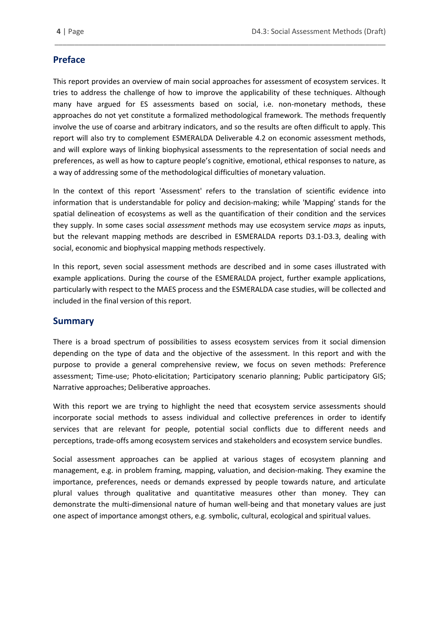# **Preface**

This report provides an overview of main social approaches for assessment of ecosystem services. It tries to address the challenge of how to improve the applicability of these techniques. Although many have argued for ES assessments based on social, i.e. non-monetary methods, these approaches do not yet constitute a formalized methodological framework. The methods frequently involve the use of coarse and arbitrary indicators, and so the results are often difficult to apply. This report will also try to complement ESMERALDA Deliverable 4.2 on economic assessment methods, and will explore ways of linking biophysical assessments to the representation of social needs and preferences, as well as how to capture people's cognitive, emotional, ethical responses to nature, as a way of addressing some of the methodological difficulties of monetary valuation.

\_\_\_\_\_\_\_\_\_\_\_\_\_\_\_\_\_\_\_\_\_\_\_\_\_\_\_\_\_\_\_\_\_\_\_\_\_\_\_\_\_\_\_\_\_\_\_\_\_\_\_\_\_\_\_\_\_\_\_\_\_\_\_\_\_\_\_\_\_\_\_\_\_\_\_\_\_\_\_\_\_\_

In the context of this report 'Assessment' refers to the translation of scientific evidence into information that is understandable for policy and decision-making; while 'Mapping' stands for the spatial delineation of ecosystems as well as the quantification of their condition and the services they supply. In some cases social *assessment* methods may use ecosystem service *maps* as inputs, but the relevant mapping methods are described in ESMERALDA reports D3.1-D3.3, dealing with social, economic and biophysical mapping methods respectively.

In this report, seven social assessment methods are described and in some cases illustrated with example applications. During the course of the ESMERALDA project, further example applications, particularly with respect to the MAES process and the ESMERALDA case studies, will be collected and included in the final version of this report.

#### **Summary**

There is a broad spectrum of possibilities to assess ecosystem services from it social dimension depending on the type of data and the objective of the assessment. In this report and with the purpose to provide a general comprehensive review, we focus on seven methods: Preference assessment; Time-use; Photo-elicitation; Participatory scenario planning; Public participatory GIS; Narrative approaches; Deliberative approaches.

With this report we are trying to highlight the need that ecosystem service assessments should incorporate social methods to assess individual and collective preferences in order to identify services that are relevant for people, potential social conflicts due to different needs and perceptions, trade-offs among ecosystem services and stakeholders and ecosystem service bundles.

Social assessment approaches can be applied at various stages of ecosystem planning and management, e.g. in problem framing, mapping, valuation, and decision-making. They examine the importance, preferences, needs or demands expressed by people towards nature, and articulate plural values through qualitative and quantitative measures other than money. They can demonstrate the multi-dimensional nature of human well-being and that monetary values are just one aspect of importance amongst others, e.g. symbolic, cultural, ecological and spiritual values.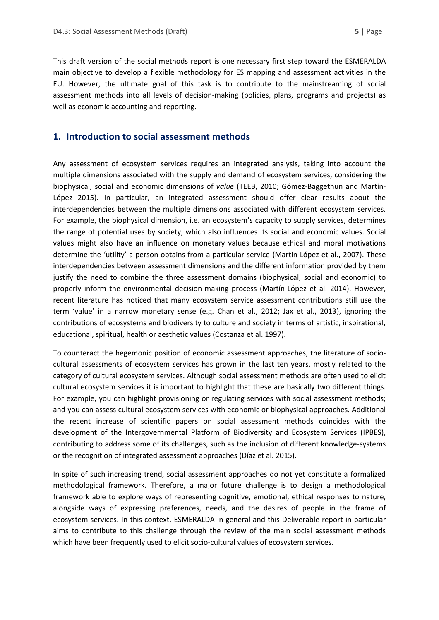This draft version of the social methods report is one necessary first step toward the ESMERALDA main objective to develop a flexible methodology for ES mapping and assessment activities in the EU. However, the ultimate goal of this task is to contribute to the mainstreaming of social assessment methods into all levels of decision-making (policies, plans, programs and projects) as well as economic accounting and reporting.

\_\_\_\_\_\_\_\_\_\_\_\_\_\_\_\_\_\_\_\_\_\_\_\_\_\_\_\_\_\_\_\_\_\_\_\_\_\_\_\_\_\_\_\_\_\_\_\_\_\_\_\_\_\_\_\_\_\_\_\_\_\_\_\_\_\_\_\_\_\_\_\_\_\_\_\_\_\_\_\_\_\_

#### **1. Introduction to social assessment methods**

Any assessment of ecosystem services requires an integrated analysis, taking into account the multiple dimensions associated with the supply and demand of ecosystem services, considering the biophysical, social and economic dimensions of *value* (TEEB, 2010; Gómez-Baggethun and Martín-López 2015). In particular, an integrated assessment should offer clear results about the interdependencies between the multiple dimensions associated with different ecosystem services. For example, the biophysical dimension, i.e. an ecosystem's capacity to supply services, determines the range of potential uses by society, which also influences its social and economic values. Social values might also have an influence on monetary values because ethical and moral motivations determine the 'utility' a person obtains from a particular service (Martín-López et al., 2007). These interdependencies between assessment dimensions and the different information provided by them justify the need to combine the three assessment domains (biophysical, social and economic) to properly inform the environmental decision-making process (Martín-López et al. 2014). However, recent literature has noticed that many ecosystem service assessment contributions still use the term 'value' in a narrow monetary sense (e.g. Chan et al., 2012; Jax et al., 2013), ignoring the contributions of ecosystems and biodiversity to culture and society in terms of artistic, inspirational, educational, spiritual, health or aesthetic values (Costanza et al. 1997).

To counteract the hegemonic position of economic assessment approaches, the literature of sociocultural assessments of ecosystem services has grown in the last ten years, mostly related to the category of cultural ecosystem services. Although social assessment methods are often used to elicit cultural ecosystem services it is important to highlight that these are basically two different things. For example, you can highlight provisioning or regulating services with social assessment methods; and you can assess cultural ecosystem services with economic or biophysical approaches. Additional the recent increase of scientific papers on social assessment methods coincides with the development of the Intergovernmental Platform of Biodiversity and Ecosystem Services (IPBES), contributing to address some of its challenges, such as the inclusion of different knowledge-systems or the recognition of integrated assessment approaches (Díaz et al. 2015).

In spite of such increasing trend, social assessment approaches do not yet constitute a formalized methodological framework. Therefore, a major future challenge is to design a methodological framework able to explore ways of representing cognitive, emotional, ethical responses to nature, alongside ways of expressing preferences, needs, and the desires of people in the frame of ecosystem services. In this context, ESMERALDA in general and this Deliverable report in particular aims to contribute to this challenge through the review of the main social assessment methods which have been frequently used to elicit socio-cultural values of ecosystem services.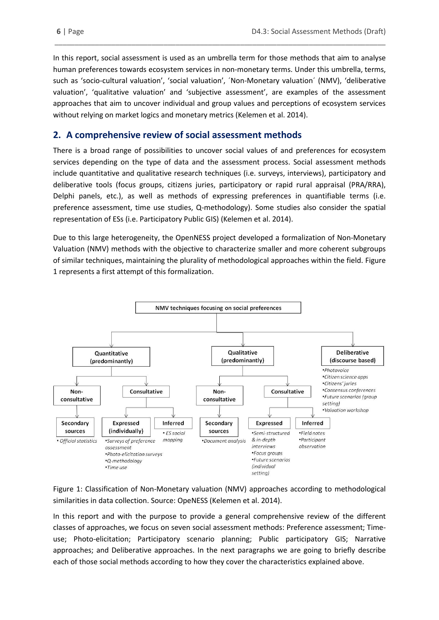In this report, social assessment is used as an umbrella term for those methods that aim to analyse human preferences towards ecosystem services in non-monetary terms. Under this umbrella, terms, such as 'socio-cultural valuation', 'social valuation', ´Non-Monetary valuation´ (NMV), 'deliberative valuation', 'qualitative valuation' and 'subjective assessment', are examples of the assessment approaches that aim to uncover individual and group values and perceptions of ecosystem services without relying on market logics and monetary metrics (Kelemen et al. 2014).

\_\_\_\_\_\_\_\_\_\_\_\_\_\_\_\_\_\_\_\_\_\_\_\_\_\_\_\_\_\_\_\_\_\_\_\_\_\_\_\_\_\_\_\_\_\_\_\_\_\_\_\_\_\_\_\_\_\_\_\_\_\_\_\_\_\_\_\_\_\_\_\_\_\_\_\_\_\_\_\_\_\_

# **2. A comprehensive review of social assessment methods**

There is a broad range of possibilities to uncover social values of and preferences for ecosystem services depending on the type of data and the assessment process. Social assessment methods include quantitative and qualitative research techniques (i.e. surveys, interviews), participatory and deliberative tools (focus groups, citizens juries, participatory or rapid rural appraisal (PRA/RRA), Delphi panels, etc.), as well as methods of expressing preferences in quantifiable terms (i.e. preference assessment, time use studies, Q-methodology). Some studies also consider the spatial representation of ESs (i.e. Participatory Public GIS) (Kelemen et al. 2014).

Due to this large heterogeneity, the OpenNESS project developed a formalization of Non-Monetary Valuation (NMV) methods with the objective to characterize smaller and more coherent subgroups of similar techniques, maintaining the plurality of methodological approaches within the field. Figure 1 represents a first attempt of this formalization.



Figure 1: Classification of Non-Monetary valuation (NMV) approaches according to methodological similarities in data collection. Source: OpeNESS (Kelemen et al. 2014).

In this report and with the purpose to provide a general comprehensive review of the different classes of approaches, we focus on seven social assessment methods: Preference assessment; Timeuse; Photo-elicitation; Participatory scenario planning; Public participatory GIS; Narrative approaches; and Deliberative approaches. In the next paragraphs we are going to briefly describe each of those social methods according to how they cover the characteristics explained above.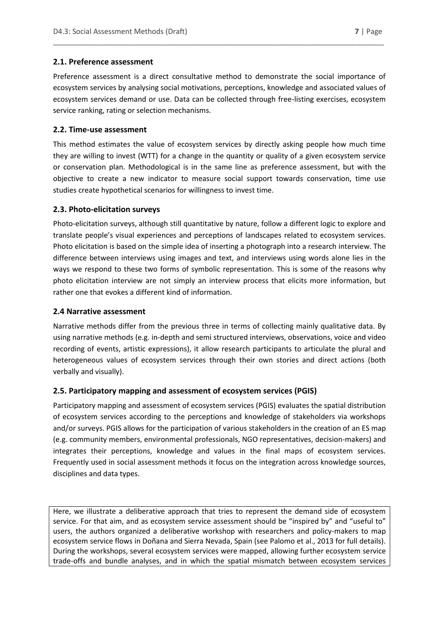#### **2.1. Preference assessment**

Preference assessment is a direct consultative method to demonstrate the social importance of ecosystem services by analysing social motivations, perceptions, knowledge and associated values of ecosystem services demand or use. Data can be collected through free-listing exercises, ecosystem service ranking, rating or selection mechanisms.

\_\_\_\_\_\_\_\_\_\_\_\_\_\_\_\_\_\_\_\_\_\_\_\_\_\_\_\_\_\_\_\_\_\_\_\_\_\_\_\_\_\_\_\_\_\_\_\_\_\_\_\_\_\_\_\_\_\_\_\_\_\_\_\_\_\_\_\_\_\_\_\_\_\_\_\_\_\_\_\_\_\_

#### **2.2. Time-use assessment**

This method estimates the value of ecosystem services by directly asking people how much time they are willing to invest (WTT) for a change in the quantity or quality of a given ecosystem service or conservation plan. Methodological is in the same line as preference assessment, but with the objective to create a new indicator to measure social support towards conservation, time use studies create hypothetical scenarios for willingness to invest time.

#### **2.3. Photo-elicitation surveys**

Photo-elicitation surveys, although still quantitative by nature, follow a different logic to explore and translate people's visual experiences and perceptions of landscapes related to ecosystem services. Photo elicitation is based on the simple idea of inserting a photograph into a research interview. The difference between interviews using images and text, and interviews using words alone lies in the ways we respond to these two forms of symbolic representation. This is some of the reasons why photo elicitation interview are not simply an interview process that elicits more information, but rather one that evokes a different kind of information.

#### **2.4 Narrative assessment**

Narrative methods differ from the previous three in terms of collecting mainly qualitative data. By using narrative methods (e.g. in-depth and semi structured interviews, observations, voice and video recording of events, artistic expressions), it allow research participants to articulate the plural and heterogeneous values of ecosystem services through their own stories and direct actions (both verbally and visually).

#### **2.5. Participatory mapping and assessment of ecosystem services (PGIS)**

Participatory mapping and assessment of ecosystem services (PGIS) evaluates the spatial distribution of ecosystem services according to the perceptions and knowledge of stakeholders via workshops and/or surveys. PGIS allows for the participation of various stakeholders in the creation of an ES map (e.g. community members, environmental professionals, NGO representatives, decision-makers) and integrates their perceptions, knowledge and values in the final maps of ecosystem services. Frequently used in social assessment methods it focus on the integration across knowledge sources, disciplines and data types.

Here, we illustrate a deliberative approach that tries to represent the demand side of ecosystem service. For that aim, and as ecosystem service assessment should be "inspired by" and "useful to" users, the authors organized a deliberative workshop with researchers and policy-makers to map ecosystem service flows in Doñana and Sierra Nevada, Spain (see Palomo et al., 2013 for full details). During the workshops, several ecosystem services were mapped, allowing further ecosystem service trade-offs and bundle analyses, and in which the spatial mismatch between ecosystem services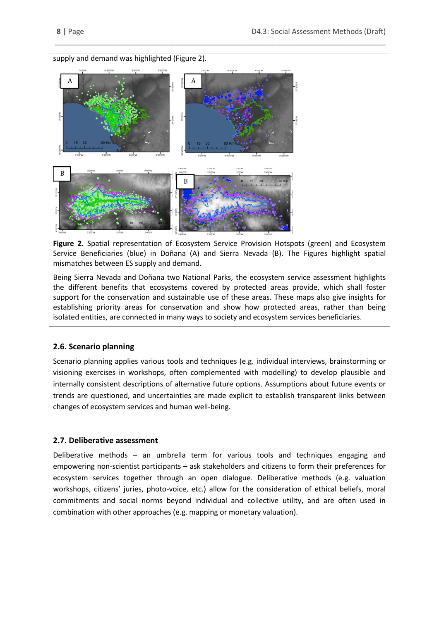

**Figure 2.** Spatial representation of Ecosystem Service Provision Hotspots (green) and Ecosystem Service Beneficiaries (blue) in Doñana (A) and Sierra Nevada (B). The Figures highlight spatial mismatches between ES supply and demand.

\_\_\_\_\_\_\_\_\_\_\_\_\_\_\_\_\_\_\_\_\_\_\_\_\_\_\_\_\_\_\_\_\_\_\_\_\_\_\_\_\_\_\_\_\_\_\_\_\_\_\_\_\_\_\_\_\_\_\_\_\_\_\_\_\_\_\_\_\_\_\_\_\_\_\_\_\_\_\_\_\_\_

Being Sierra Nevada and Doñana two National Parks, the ecosystem service assessment highlights the different benefits that ecosystems covered by protected areas provide, which shall foster support for the conservation and sustainable use of these areas. These maps also give insights for establishing priority areas for conservation and show how protected areas, rather than being isolated entities, are connected in many ways to society and ecosystem services beneficiaries.

#### **2.6. Scenario planning**

Scenario planning applies various tools and techniques (e.g. individual interviews, brainstorming or visioning exercises in workshops, often complemented with modelling) to develop plausible and internally consistent descriptions of alternative future options. Assumptions about future events or trends are questioned, and uncertainties are made explicit to establish transparent links between changes of ecosystem services and human well-being.

#### **2.7. Deliberative assessment**

Deliberative methods – an umbrella term for various tools and techniques engaging and empowering non-scientist participants – ask stakeholders and citizens to form their preferences for ecosystem services together through an open dialogue. Deliberative methods (e.g. valuation workshops, citizens' juries, photo-voice, etc.) allow for the consideration of ethical beliefs, moral commitments and social norms beyond individual and collective utility, and are often used in combination with other approaches (e.g. mapping or monetary valuation).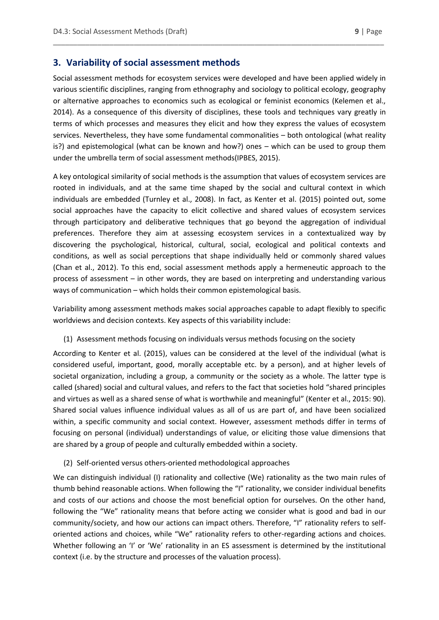#### **3. Variability of social assessment methods**

Social assessment methods for ecosystem services were developed and have been applied widely in various scientific disciplines, ranging from ethnography and sociology to political ecology, geography or alternative approaches to economics such as ecological or feminist economics (Kelemen et al., 2014). As a consequence of this diversity of disciplines, these tools and techniques vary greatly in terms of which processes and measures they elicit and how they express the values of ecosystem services. Nevertheless, they have some fundamental commonalities – both ontological (what reality is?) and epistemological (what can be known and how?) ones – which can be used to group them under the umbrella term of social assessment methods(IPBES, 2015).

\_\_\_\_\_\_\_\_\_\_\_\_\_\_\_\_\_\_\_\_\_\_\_\_\_\_\_\_\_\_\_\_\_\_\_\_\_\_\_\_\_\_\_\_\_\_\_\_\_\_\_\_\_\_\_\_\_\_\_\_\_\_\_\_\_\_\_\_\_\_\_\_\_\_\_\_\_\_\_\_\_\_

A key ontological similarity of social methods is the assumption that values of ecosystem services are rooted in individuals, and at the same time shaped by the social and cultural context in which individuals are embedded (Turnley et al., 2008). In fact, as Kenter et al. (2015) pointed out, some social approaches have the capacity to elicit collective and shared values of ecosystem services through participatory and deliberative techniques that go beyond the aggregation of individual preferences. Therefore they aim at assessing ecosystem services in a contextualized way by discovering the psychological, historical, cultural, social, ecological and political contexts and conditions, as well as social perceptions that shape individually held or commonly shared values (Chan et al., 2012). To this end, social assessment methods apply a hermeneutic approach to the process of assessment – in other words, they are based on interpreting and understanding various ways of communication – which holds their common epistemological basis.

Variability among assessment methods makes social approaches capable to adapt flexibly to specific worldviews and decision contexts. Key aspects of this variability include:

(1) Assessment methods focusing on individuals versus methods focusing on the society

According to Kenter et al. (2015), values can be considered at the level of the individual (what is considered useful, important, good, morally acceptable etc. by a person), and at higher levels of societal organization, including a group, a community or the society as a whole. The latter type is called (shared) social and cultural values, and refers to the fact that societies hold "shared principles and virtues as well as a shared sense of what is worthwhile and meaningful" (Kenter et al., 2015: 90). Shared social values influence individual values as all of us are part of, and have been socialized within, a specific community and social context. However, assessment methods differ in terms of focusing on personal (individual) understandings of value, or eliciting those value dimensions that are shared by a group of people and culturally embedded within a society.

(2) Self-oriented versus others-oriented methodological approaches

We can distinguish individual (I) rationality and collective (We) rationality as the two main rules of thumb behind reasonable actions. When following the "I" rationality, we consider individual benefits and costs of our actions and choose the most beneficial option for ourselves. On the other hand, following the "We" rationality means that before acting we consider what is good and bad in our community/society, and how our actions can impact others. Therefore, "I" rationality refers to selforiented actions and choices, while "We" rationality refers to other-regarding actions and choices. Whether following an 'I' or 'We' rationality in an ES assessment is determined by the institutional context (i.e. by the structure and processes of the valuation process).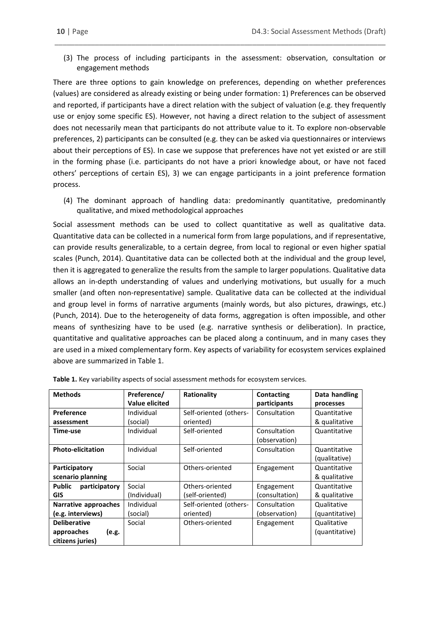(3) The process of including participants in the assessment: observation, consultation or engagement methods

\_\_\_\_\_\_\_\_\_\_\_\_\_\_\_\_\_\_\_\_\_\_\_\_\_\_\_\_\_\_\_\_\_\_\_\_\_\_\_\_\_\_\_\_\_\_\_\_\_\_\_\_\_\_\_\_\_\_\_\_\_\_\_\_\_\_\_\_\_\_\_\_\_\_\_\_\_\_\_\_\_\_

There are three options to gain knowledge on preferences, depending on whether preferences (values) are considered as already existing or being under formation: 1) Preferences can be observed and reported, if participants have a direct relation with the subject of valuation (e.g. they frequently use or enjoy some specific ES). However, not having a direct relation to the subject of assessment does not necessarily mean that participants do not attribute value to it. To explore non-observable preferences, 2) participants can be consulted (e.g. they can be asked via questionnaires or interviews about their perceptions of ES). In case we suppose that preferences have not yet existed or are still in the forming phase (i.e. participants do not have a priori knowledge about, or have not faced others' perceptions of certain ES), 3) we can engage participants in a joint preference formation process.

(4) The dominant approach of handling data: predominantly quantitative, predominantly qualitative, and mixed methodological approaches

Social assessment methods can be used to collect quantitative as well as qualitative data. Quantitative data can be collected in a numerical form from large populations, and if representative, can provide results generalizable, to a certain degree, from local to regional or even higher spatial scales (Punch, 2014). Quantitative data can be collected both at the individual and the group level, then it is aggregated to generalize the results from the sample to larger populations. Qualitative data allows an in-depth understanding of values and underlying motivations, but usually for a much smaller (and often non-representative) sample. Qualitative data can be collected at the individual and group level in forms of narrative arguments (mainly words, but also pictures, drawings, etc.) (Punch, 2014). Due to the heterogeneity of data forms, aggregation is often impossible, and other means of synthesizing have to be used (e.g. narrative synthesis or deliberation). In practice, quantitative and qualitative approaches can be placed along a continuum, and in many cases they are used in a mixed complementary form. Key aspects of variability for ecosystem services explained above are summarized in Table 1.

| <b>Methods</b>                                                 | Preference/<br><b>Value elicited</b> | Rationality                         | <b>Contacting</b><br>participants | Data handling<br>processes    |
|----------------------------------------------------------------|--------------------------------------|-------------------------------------|-----------------------------------|-------------------------------|
| Preference<br>assessment                                       | Individual<br>(social)               | Self-oriented (others-<br>oriented) | Consultation                      | Quantitative<br>& qualitative |
| Time-use                                                       | Individual                           | Self-oriented                       | Consultation<br>(observation)     | Quantitative                  |
| <b>Photo-elicitation</b>                                       | Individual                           | Self-oriented                       | Consultation                      | Quantitative<br>(qualitative) |
| Participatory<br>scenario planning                             | Social                               | Others-oriented                     | Engagement                        | Quantitative<br>& qualitative |
| <b>Public</b><br>participatory<br><b>GIS</b>                   | Social<br>(Individual)               | Others-oriented<br>(self-oriented)  | Engagement<br>(consultation)      | Quantitative<br>& qualitative |
| Narrative approaches<br>(e.g. interviews)                      | Individual<br>(social)               | Self-oriented (others-<br>oriented) | Consultation<br>(observation)     | Qualitative<br>(quantitative) |
| <b>Deliberative</b><br>approaches<br>(e.g.<br>citizens juries) | Social                               | Others-oriented                     | Engagement                        | Qualitative<br>(quantitative) |

**Table 1.** Key variability aspects of social assessment methods for ecosystem services.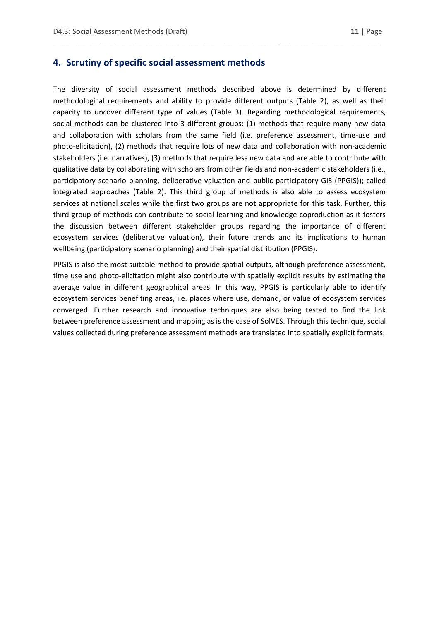#### **4. Scrutiny of specific social assessment methods**

The diversity of social assessment methods described above is determined by different methodological requirements and ability to provide different outputs (Table 2), as well as their capacity to uncover different type of values (Table 3). Regarding methodological requirements, social methods can be clustered into 3 different groups: (1) methods that require many new data and collaboration with scholars from the same field (i.e. preference assessment, time-use and photo-elicitation), (2) methods that require lots of new data and collaboration with non-academic stakeholders (i.e. narratives), (3) methods that require less new data and are able to contribute with qualitative data by collaborating with scholars from other fields and non-academic stakeholders (i.e., participatory scenario planning, deliberative valuation and public participatory GIS (PPGIS)); called integrated approaches (Table 2). This third group of methods is also able to assess ecosystem services at national scales while the first two groups are not appropriate for this task. Further, this third group of methods can contribute to social learning and knowledge coproduction as it fosters the discussion between different stakeholder groups regarding the importance of different ecosystem services (deliberative valuation), their future trends and its implications to human wellbeing (participatory scenario planning) and their spatial distribution (PPGIS).

\_\_\_\_\_\_\_\_\_\_\_\_\_\_\_\_\_\_\_\_\_\_\_\_\_\_\_\_\_\_\_\_\_\_\_\_\_\_\_\_\_\_\_\_\_\_\_\_\_\_\_\_\_\_\_\_\_\_\_\_\_\_\_\_\_\_\_\_\_\_\_\_\_\_\_\_\_\_\_\_\_\_

PPGIS is also the most suitable method to provide spatial outputs, although preference assessment, time use and photo-elicitation might also contribute with spatially explicit results by estimating the average value in different geographical areas. In this way, PPGIS is particularly able to identify ecosystem services benefiting areas, i.e. places where use, demand, or value of ecosystem services converged. Further research and innovative techniques are also being tested to find the link between preference assessment and mapping as is the case of SolVES. Through this technique, social values collected during preference assessment methods are translated into spatially explicit formats.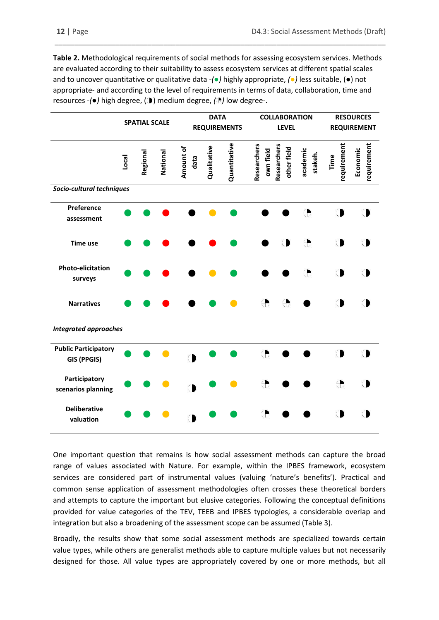**Table 2.** Methodological requirements of social methods for assessing ecosystem services. Methods are evaluated according to their suitability to assess ecosystem services at different spatial scales and to uncover quantitative or qualitative data *-(●)* highly appropriate, *(●)* less suitable, (●) not appropriate- and according to the level of requirements in terms of data, collaboration, time and resources -*(●)* high degree, ( ) medium degree, *( )* low degree-.

\_\_\_\_\_\_\_\_\_\_\_\_\_\_\_\_\_\_\_\_\_\_\_\_\_\_\_\_\_\_\_\_\_\_\_\_\_\_\_\_\_\_\_\_\_\_\_\_\_\_\_\_\_\_\_\_\_\_\_\_\_\_\_\_\_\_\_\_\_\_\_\_\_\_\_\_\_\_\_\_\_\_

|                                                   | <b>SPATIAL SCALE</b> |          | <b>DATA</b><br><b>REQUIREMENTS</b> |                   | <b>COLLABORATION</b><br><b>LEVEL</b> |              |                          | <b>RESOURCES</b><br><b>REQUIREMENT</b> |                     |                     |                         |
|---------------------------------------------------|----------------------|----------|------------------------------------|-------------------|--------------------------------------|--------------|--------------------------|----------------------------------------|---------------------|---------------------|-------------------------|
|                                                   | Local                | Regional | National                           | Amount of<br>data | Qualitative                          | Quantitative | Researchers<br>own field | Researchers<br>other field             | academic<br>stakeh. | requirement<br>Time | requirement<br>Economic |
| Socio-cultural techniques                         |                      |          |                                    |                   |                                      |              |                          |                                        |                     |                     |                         |
| Preference<br>assessment                          |                      |          |                                    |                   |                                      |              |                          |                                        | ₩                   |                     |                         |
| <b>Time use</b>                                   |                      |          |                                    |                   |                                      |              |                          | h                                      | €                   |                     |                         |
| <b>Photo-elicitation</b><br>surveys               |                      |          |                                    |                   |                                      |              |                          |                                        | ⊕                   |                     |                         |
| <b>Narratives</b>                                 |                      |          |                                    |                   |                                      |              | $\oplus$                 |                                        |                     |                     |                         |
| <b>Integrated approaches</b>                      |                      |          |                                    |                   |                                      |              |                          |                                        |                     |                     |                         |
| <b>Public Participatory</b><br><b>GIS (PPGIS)</b> |                      |          |                                    |                   |                                      |              | ⊕                        |                                        |                     |                     |                         |
| Participatory<br>scenarios planning               |                      |          |                                    |                   |                                      |              | $\oplus$                 |                                        |                     | $\oplus$            |                         |
| <b>Deliberative</b><br>valuation                  |                      |          |                                    |                   |                                      |              | €                        |                                        |                     |                     |                         |

One important question that remains is how social assessment methods can capture the broad range of values associated with Nature. For example, within the IPBES framework, ecosystem services are considered part of instrumental values (valuing 'nature's benefits'). Practical and common sense application of assessment methodologies often crosses these theoretical borders and attempts to capture the important but elusive categories. Following the conceptual definitions provided for value categories of the TEV, TEEB and IPBES typologies, a considerable overlap and integration but also a broadening of the assessment scope can be assumed (Table 3).

Broadly, the results show that some social assessment methods are specialized towards certain value types, while others are generalist methods able to capture multiple values but not necessarily designed for those. All value types are appropriately covered by one or more methods, but all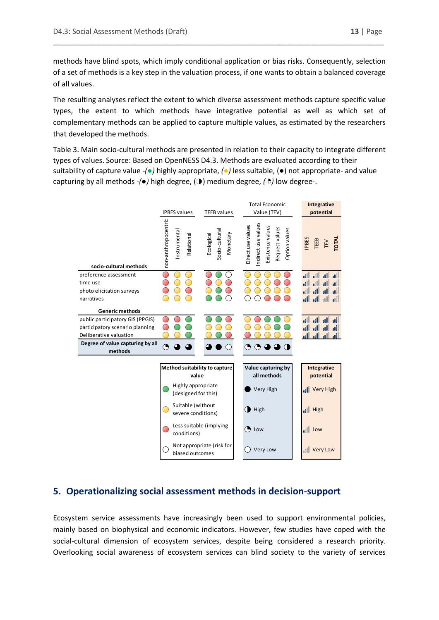methods have blind spots, which imply conditional application or bias risks. Consequently, selection of a set of methods is a key step in the valuation process, if one wants to obtain a balanced coverage of all values.

\_\_\_\_\_\_\_\_\_\_\_\_\_\_\_\_\_\_\_\_\_\_\_\_\_\_\_\_\_\_\_\_\_\_\_\_\_\_\_\_\_\_\_\_\_\_\_\_\_\_\_\_\_\_\_\_\_\_\_\_\_\_\_\_\_\_\_\_\_\_\_\_\_\_\_\_\_\_\_\_\_\_

The resulting analyses reflect the extent to which diverse assessment methods capture specific value types, the extent to which methods have integrative potential as well as which set of complementary methods can be applied to capture multiple values, as estimated by the researchers that developed the methods.

Table 3. Main socio-cultural methods are presented in relation to their capacity to integrate different types of values. Source: Based on OpenNESS D4.3. Methods are evaluated according to their suitability of capture value *-(●)* highly appropriate, *(●)* less suitable, (●) not appropriate- and value capturing by all methods -*(●)* high degree, ( ) medium degree, *( )* low degree-.



### **5. Operationalizing social assessment methods in decision-support**

Ecosystem service assessments have increasingly been used to support environmental policies, mainly based on biophysical and economic indicators. However, few studies have coped with the social-cultural dimension of ecosystem services, despite being considered a research priority. Overlooking social awareness of ecosystem services can blind society to the variety of services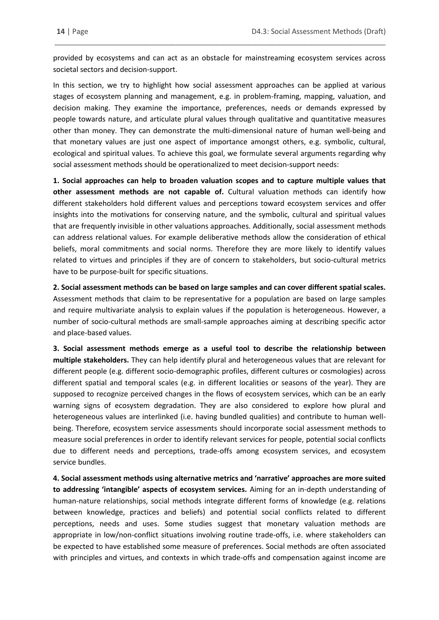provided by ecosystems and can act as an obstacle for mainstreaming ecosystem services across societal sectors and decision-support.

\_\_\_\_\_\_\_\_\_\_\_\_\_\_\_\_\_\_\_\_\_\_\_\_\_\_\_\_\_\_\_\_\_\_\_\_\_\_\_\_\_\_\_\_\_\_\_\_\_\_\_\_\_\_\_\_\_\_\_\_\_\_\_\_\_\_\_\_\_\_\_\_\_\_\_\_\_\_\_\_\_\_

In this section, we try to highlight how social assessment approaches can be applied at various stages of ecosystem planning and management, e.g. in problem-framing, mapping, valuation, and decision making. They examine the importance, preferences, needs or demands expressed by people towards nature, and articulate plural values through qualitative and quantitative measures other than money. They can demonstrate the multi-dimensional nature of human well-being and that monetary values are just one aspect of importance amongst others, e.g. symbolic, cultural, ecological and spiritual values. To achieve this goal, we formulate several arguments regarding why social assessment methods should be operationalized to meet decision-support needs:

**1. Social approaches can help to broaden valuation scopes and to capture multiple values that other assessment methods are not capable of.** Cultural valuation methods can identify how different stakeholders hold different values and perceptions toward ecosystem services and offer insights into the motivations for conserving nature, and the symbolic, cultural and spiritual values that are frequently invisible in other valuations approaches. Additionally, social assessment methods can address relational values. For example deliberative methods allow the consideration of ethical beliefs, moral commitments and social norms. Therefore they are more likely to identify values related to virtues and principles if they are of concern to stakeholders, but socio-cultural metrics have to be purpose-built for specific situations.

**2. Social assessment methods can be based on large samples and can cover different spatial scales.** Assessment methods that claim to be representative for a population are based on large samples and require multivariate analysis to explain values if the population is heterogeneous. However, a number of socio-cultural methods are small-sample approaches aiming at describing specific actor and place-based values.

**3. Social assessment methods emerge as a useful tool to describe the relationship between multiple stakeholders.** They can help identify plural and heterogeneous values that are relevant for different people (e.g. different socio-demographic profiles, different cultures or cosmologies) across different spatial and temporal scales (e.g. in different localities or seasons of the year). They are supposed to recognize perceived changes in the flows of ecosystem services, which can be an early warning signs of ecosystem degradation. They are also considered to explore how plural and heterogeneous values are interlinked (i.e. having bundled qualities) and contribute to human wellbeing. Therefore, ecosystem service assessments should incorporate social assessment methods to measure social preferences in order to identify relevant services for people, potential social conflicts due to different needs and perceptions, trade-offs among ecosystem services, and ecosystem service bundles.

**4. Social assessment methods using alternative metrics and 'narrative' approaches are more suited to addressing 'intangible' aspects of ecosystem services.** Aiming for an in-depth understanding of human-nature relationships, social methods integrate different forms of knowledge (e.g. relations between knowledge, practices and beliefs) and potential social conflicts related to different perceptions, needs and uses. Some studies suggest that monetary valuation methods are appropriate in low/non-conflict situations involving routine trade-offs, i.e. where stakeholders can be expected to have established some measure of preferences. Social methods are often associated with principles and virtues, and contexts in which trade-offs and compensation against income are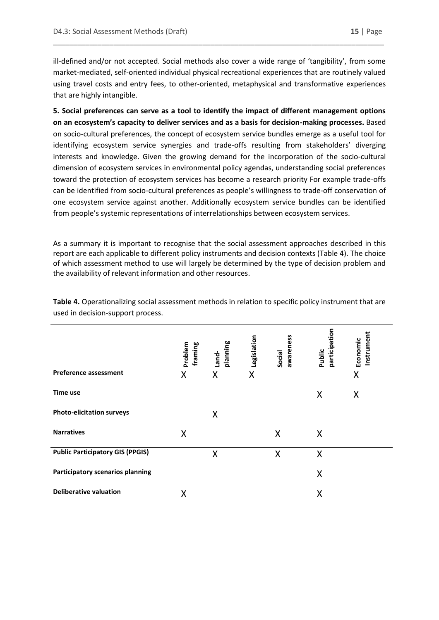ill-defined and/or not accepted. Social methods also cover a wide range of 'tangibility', from some market-mediated, self-oriented individual physical recreational experiences that are routinely valued using travel costs and entry fees, to other-oriented, metaphysical and transformative experiences that are highly intangible.

\_\_\_\_\_\_\_\_\_\_\_\_\_\_\_\_\_\_\_\_\_\_\_\_\_\_\_\_\_\_\_\_\_\_\_\_\_\_\_\_\_\_\_\_\_\_\_\_\_\_\_\_\_\_\_\_\_\_\_\_\_\_\_\_\_\_\_\_\_\_\_\_\_\_\_\_\_\_\_\_\_\_

**5. Social preferences can serve as a tool to identify the impact of different management options on an ecosystem's capacity to deliver services and as a basis for decision-making processes.** Based on socio-cultural preferences, the concept of ecosystem service bundles emerge as a useful tool for identifying ecosystem service synergies and trade-offs resulting from stakeholders' diverging interests and knowledge. Given the growing demand for the incorporation of the socio-cultural dimension of ecosystem services in environmental policy agendas, understanding social preferences toward the protection of ecosystem services has become a research priority For example trade-offs can be identified from socio-cultural preferences as people's willingness to trade-off conservation of one ecosystem service against another. Additionally ecosystem service bundles can be identified from people's systemic representations of interrelationships between ecosystem services.

As a summary it is important to recognise that the social assessment approaches described in this report are each applicable to different policy instruments and decision contexts (Table 4). The choice of which assessment method to use will largely be determined by the type of decision problem and the availability of relevant information and other resources.

|                                         | Problem<br>framing | planning<br>Land- | Legislation | awareness<br>Social | participation<br>Public | Instrument<br>Economic |
|-----------------------------------------|--------------------|-------------------|-------------|---------------------|-------------------------|------------------------|
| <b>Preference assessment</b>            | X                  | X                 | X           |                     |                         | X                      |
| Time use                                |                    |                   |             |                     | X                       | X                      |
| <b>Photo-elicitation surveys</b>        |                    | X                 |             |                     |                         |                        |
| <b>Narratives</b>                       | X                  |                   |             | X                   | X                       |                        |
| <b>Public Participatory GIS (PPGIS)</b> |                    | X                 |             | X                   | X                       |                        |
| Participatory scenarios planning        |                    |                   |             |                     | X                       |                        |
| <b>Deliberative valuation</b>           | X                  |                   |             |                     | X                       |                        |

**Table 4.** Operationalizing social assessment methods in relation to specific policy instrument that are used in decision-support process.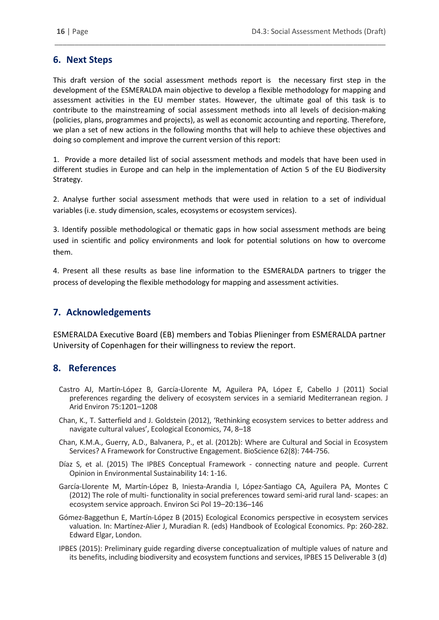# **6. Next Steps**

This draft version of the social assessment methods report is the necessary first step in the development of the ESMERALDA main objective to develop a flexible methodology for mapping and assessment activities in the EU member states. However, the ultimate goal of this task is to contribute to the mainstreaming of social assessment methods into all levels of decision-making (policies, plans, programmes and projects), as well as economic accounting and reporting. Therefore, we plan a set of new actions in the following months that will help to achieve these objectives and doing so complement and improve the current version of this report:

\_\_\_\_\_\_\_\_\_\_\_\_\_\_\_\_\_\_\_\_\_\_\_\_\_\_\_\_\_\_\_\_\_\_\_\_\_\_\_\_\_\_\_\_\_\_\_\_\_\_\_\_\_\_\_\_\_\_\_\_\_\_\_\_\_\_\_\_\_\_\_\_\_\_\_\_\_\_\_\_\_\_

1. Provide a more detailed list of social assessment methods and models that have been used in different studies in Europe and can help in the implementation of Action 5 of the EU Biodiversity Strategy.

2. Analyse further social assessment methods that were used in relation to a set of individual variables (i.e. study dimension, scales, ecosystems or ecosystem services).

3. Identify possible methodological or thematic gaps in how social assessment methods are being used in scientific and policy environments and look for potential solutions on how to overcome them.

4. Present all these results as base line information to the ESMERALDA partners to trigger the process of developing the flexible methodology for mapping and assessment activities.

# **7. Acknowledgements**

ESMERALDA Executive Board (EB) members and Tobias Plieninger from ESMERALDA partner University of Copenhagen for their willingness to review the report.

### **8. References**

- Castro AJ, Martín-López B, García-Llorente M, Aguilera PA, López E, Cabello J (2011) Social preferences regarding the delivery of ecosystem services in a semiarid Mediterranean region. J Arid Environ 75:1201–1208
- Chan, K., T. Satterfield and J. Goldstein (2012), 'Rethinking ecosystem services to better address and navigate cultural values', Ecological Economics, 74, 8–18
- Chan, K.M.A., Guerry, A.D., Balvanera, P., et al. (2012b): Where are Cultural and Social in Ecosystem Services? A Framework for Constructive Engagement. BioScience 62(8): 744-756.
- Díaz S, et al. (2015) The IPBES Conceptual Framework connecting nature and people. Current Opinion in Environmental Sustainability 14: 1-16.
- García-Llorente M, Martín-López B, Iniesta-Arandia I, López-Santiago CA, Aguilera PA, Montes C (2012) The role of multi- functionality in social preferences toward semi-arid rural land- scapes: an ecosystem service approach. Environ Sci Pol 19–20:136–146
- Gómez-Baggethun E, Martín-López B (2015) Ecological Economics perspective in ecosystem services valuation. In: Martínez-Alier J, Muradian R. (eds) Handbook of Ecological Economics. Pp: 260-282. Edward Elgar, London.
- IPBES (2015): Preliminary guide regarding diverse conceptualization of multiple values of nature and its benefits, including biodiversity and ecosystem functions and services, IPBES 15 Deliverable 3 (d)